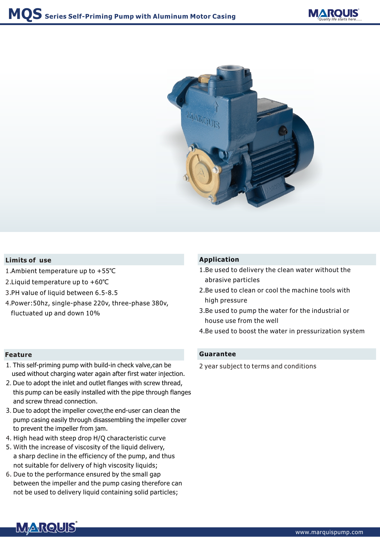



## **Limits of use**

- 1. Ambient temperature up to +55℃
- 2. Liquid temperature up to +60℃
- 3. PH value of liquid between 6.5-8.5
- 4. Power:50hz, single-phase 220v, three-phase 380v, fluctuated up and down 10%

- 1.This self-priming pump with build-in check valve,can be used without charging water again after first water injection.
- 2. Due to adopt the inlet and outlet flanges with screw thread, this pump can be easily installed with the pipe through flanges and screw thread connection.
- 3. Due to adopt the impeller cover,the end-user can clean the pump casing easily through disassembling the impeller cover to prevent the impeller from jam.
- 4. High head with steep drop H/Q characteristic curve
- 5. With the increase of viscosity of the liquid delivery, a sharp decline in the efficiency of the pump, and thus not suitable for delivery of high viscosity liquids;
- 6. D ue to the performance ensured by the small gap between the impeller and the pump casing therefore can not be used to delivery liquid containing solid particles;

## **Application**

- 1.Be used to delivery the clean water without the abrasive particles
- 2.Be used to clean or cool the machine tools with high pressure
- 3.Be used to pump the water for the industrial or house use from the well
- 4.Be used to boost the water in pressurization system

#### **Feature Guarantee**

2 year subject to terms and conditions

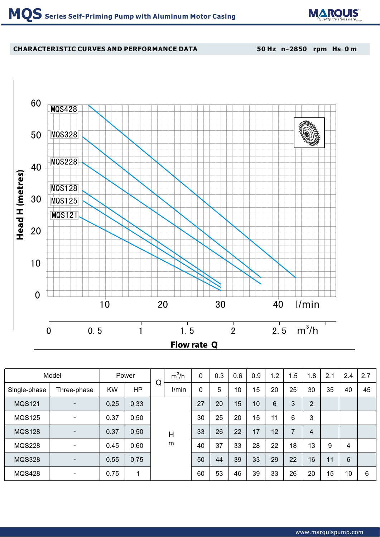

# **CHARACTERISTIC CURVES AND PERFORMANCE DATA**

**50 Hz n**=**2850 rpm Hs**=**0 m**



| Model         |                   | Power     |           | Q      | $m^3/h$ | 0  | 0.3 | 0.6 | 0.9 | 1.2 | 1.5 | 1.8            | 2.1            | 2.4 | 2.7 |  |  |
|---------------|-------------------|-----------|-----------|--------|---------|----|-----|-----|-----|-----|-----|----------------|----------------|-----|-----|--|--|
| Single-phase  | Three-phase       | <b>KW</b> | <b>HP</b> |        | I/min   | 0  | 5   | 10  | 15  | 20  | 25  | 30             | 35             | 40  | 45  |  |  |
| <b>MQS121</b> |                   | 0.25      | 0.33      | H<br>m |         | 27 | 20  | 15  | 10  | 6   | 3   | $\overline{2}$ |                |     |     |  |  |
| <b>MQS125</b> |                   | 0.37      | 0.50      |        |         | 30 | 25  | 20  | 15  | 11  | 6   | 3              |                |     |     |  |  |
| <b>MQS128</b> | $\qquad \qquad -$ | 0.37      | 0.50      |        |         |    |     | 33  | 26  | 22  | 17  | 12             | $\overline{7}$ | 4   |     |  |  |
| <b>MQS228</b> |                   | 0.45      | 0.60      |        |         |    | 40  | 37  | 33  | 28  | 22  | 18             | 13             | 9   | 4   |  |  |
| <b>MQS328</b> |                   | 0.55      | 0.75      |        |         |    | 50  | 44  | 39  | 33  | 29  | 22             | 16             | 11  | 6   |  |  |
| <b>MQS428</b> |                   | 0.75      | 1         |        |         | 60 | 53  | 46  | 39  | 33  | 26  | 20             | 15             | 10  | 6   |  |  |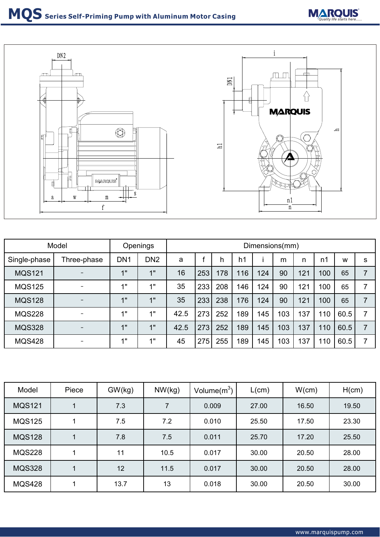



| Model         |                          | Openings        |                 | Dimensions(mm) |     |     |                |     |     |     |     |      |   |
|---------------|--------------------------|-----------------|-----------------|----------------|-----|-----|----------------|-----|-----|-----|-----|------|---|
| Single-phase  | Three-phase              | DN <sub>1</sub> | DN <sub>2</sub> | a              |     | h   | h <sub>1</sub> |     | m   | n   | n1  | W    | s |
| <b>MQS121</b> |                          | 1"              | 4 <sub>II</sub> | 16             | 253 | 178 | 116            | 124 | 90  | 121 | 100 | 65   |   |
| <b>MQS125</b> |                          | 1"              | 1"              | 35             | 233 | 208 | 146            | 124 | 90  | 121 | 100 | 65   |   |
| <b>MQS128</b> |                          | 1"              | 1"              | 35             | 233 | 238 | 176            | 124 | 90  | 121 | 100 | 65   |   |
| <b>MQS228</b> |                          | 1"              | 4 !!            | 42.5           | 273 | 252 | 189            | 145 | 103 | 137 | 110 | 60.5 |   |
| <b>MQS328</b> | $\overline{\phantom{0}}$ | 1"              | 1"              | 42.5           | 273 | 252 | 189            | 145 | 103 | 137 | 110 | 60.5 |   |
| <b>MQS428</b> |                          | 1"              | 1"              | 45             | 275 | 255 | 189            | 145 | 103 | 137 | 110 | 60.5 |   |

| Model         | Piece | GW(kg) | NW(kg) | Volume $(m^3)$ , | L(cm) | W(cm) | H(cm) |
|---------------|-------|--------|--------|------------------|-------|-------|-------|
| <b>MQS121</b> |       | 7.3    |        | 0.009            | 27.00 | 16.50 | 19.50 |
| <b>MQS125</b> |       | 7.5    | 7.2    | 0.010            | 25.50 | 17.50 | 23.30 |
| <b>MQS128</b> |       | 7.8    | 7.5    | 0.011            | 25.70 | 17.20 | 25.50 |
| <b>MQS228</b> |       | 11     | 10.5   | 0.017            | 30.00 | 20.50 | 28.00 |
| <b>MQS328</b> |       | 12     | 11.5   | 0.017            | 30.00 | 20.50 | 28.00 |
| <b>MQS428</b> |       | 13.7   | 13     | 0.018            | 30.00 | 20.50 | 30.00 |